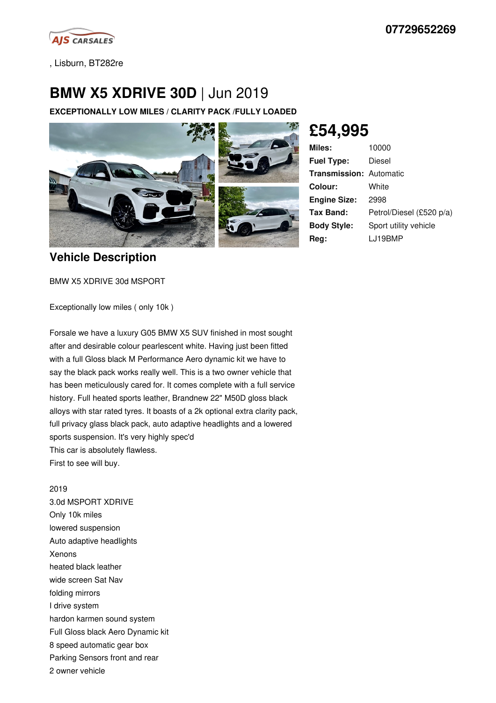

, Lisburn, BT282re

## **BMW X5 XDRIVE 30D** | Jun 2019

**EXCEPTIONALLY LOW MILES / CLARITY PACK /FULLY LOADED**



**£54,995**

| <b>Miles:</b>                  | 10000                    |
|--------------------------------|--------------------------|
| <b>Fuel Type:</b>              | Diesel                   |
| <b>Transmission: Automatic</b> |                          |
| Colour:                        | White                    |
| <b>Engine Size:</b>            | 2998                     |
| Tax Band:                      | Petrol/Diesel (£520 p/a) |
| <b>Body Style:</b>             | Sport utility vehicle    |
| Reg:                           | LJ19BMP                  |

## **Vehicle Description**

BMW X5 XDRIVE 30d MSPORT

Exceptionally low miles ( only 10k )

Forsale we have a luxury G05 BMW X5 SUV finished in most sought after and desirable colour pearlescent white. Having just been fitted with a full Gloss black M Performance Aero dynamic kit we have to say the black pack works really well. This is a two owner vehicle that has been meticulously cared for. It comes complete with a full service history. Full heated sports leather, Brandnew 22" M50D gloss black alloys with star rated tyres. It boasts of a 2k optional extra clarity pack, full privacy glass black pack, auto adaptive headlights and a lowered sports suspension. It's very highly spec'd This car is absolutely flawless. First to see will buy.

## 2019

3.0d MSPORT XDRIVE Only 10k miles lowered suspension Auto adaptive headlights Xenons heated black leather wide screen Sat Nav folding mirrors I drive system hardon karmen sound system Full Gloss black Aero Dynamic kit 8 speed automatic gear box Parking Sensors front and rear 2 owner vehicle